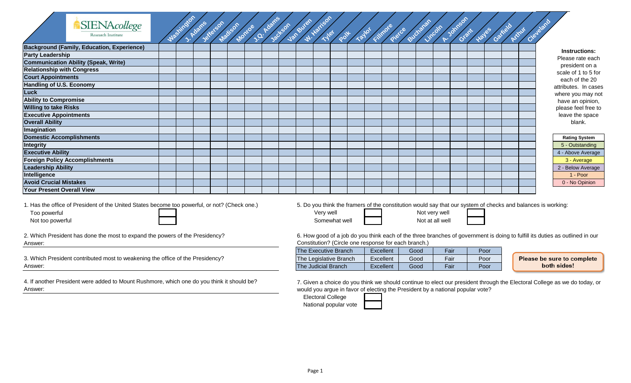|                                       | <b>SIENAcollege</b><br>Research Institute                                                     | Mashington | J. Adams | Jetterson | Matison Morro | Jackson | Van Buren | W. Harrison<br><b>Typet</b> |               |  | Poll Layot Filmore Parchament P |                                  | A-Johnson | Hayes<br>Grant | Garrield | Arthur | Cleveland                                                                                                    |
|---------------------------------------|-----------------------------------------------------------------------------------------------|------------|----------|-----------|---------------|---------|-----------|-----------------------------|---------------|--|---------------------------------|----------------------------------|-----------|----------------|----------|--------|--------------------------------------------------------------------------------------------------------------|
|                                       | <b>Background (Family, Education, Experience)</b>                                             |            |          |           |               |         |           |                             |               |  |                                 |                                  |           |                |          |        | Instructions:                                                                                                |
| <b>Party Leadership</b>               |                                                                                               |            |          |           |               |         |           |                             |               |  |                                 |                                  |           |                |          |        | Please rate each                                                                                             |
|                                       | <b>Communication Ability (Speak, Write)</b>                                                   |            |          |           |               |         |           |                             |               |  |                                 |                                  |           |                |          |        | president on a                                                                                               |
| <b>Relationship with Congress</b>     |                                                                                               |            |          |           |               |         |           |                             |               |  |                                 |                                  |           |                |          |        | scale of 1 to 5 for                                                                                          |
| <b>Court Appointments</b>             |                                                                                               |            |          |           |               |         |           |                             |               |  |                                 |                                  |           |                |          |        | each of the 20                                                                                               |
| Handling of U.S. Economy              |                                                                                               |            |          |           |               |         |           |                             |               |  |                                 |                                  |           |                |          |        | attributes. In cases                                                                                         |
| <b>Luck</b>                           |                                                                                               |            |          |           |               |         |           |                             |               |  |                                 |                                  |           |                |          |        | where you may not                                                                                            |
| <b>Ability to Compromise</b>          |                                                                                               |            |          |           |               |         |           |                             |               |  |                                 |                                  |           |                |          |        | have an opinion,                                                                                             |
| <b>Willing to take Risks</b>          |                                                                                               |            |          |           |               |         |           |                             |               |  |                                 |                                  |           |                |          |        | please feel free to                                                                                          |
| <b>Executive Appointments</b>         |                                                                                               |            |          |           |               |         |           |                             |               |  |                                 |                                  |           |                |          |        | leave the space                                                                                              |
| <b>Overall Ability</b>                |                                                                                               |            |          |           |               |         |           |                             |               |  |                                 |                                  |           |                |          |        | blank.                                                                                                       |
| Imagination                           |                                                                                               |            |          |           |               |         |           |                             |               |  |                                 |                                  |           |                |          |        |                                                                                                              |
| <b>Domestic Accomplishments</b>       |                                                                                               |            |          |           |               |         |           |                             |               |  |                                 |                                  |           |                |          |        | <b>Rating System</b>                                                                                         |
| Integrity                             |                                                                                               |            |          |           |               |         |           |                             |               |  |                                 |                                  |           |                |          |        | 5 - Outstanding                                                                                              |
| <b>Executive Ability</b>              |                                                                                               |            |          |           |               |         |           |                             |               |  |                                 |                                  |           |                |          |        | 4 - Above Average                                                                                            |
| <b>Foreign Policy Accomplishments</b> |                                                                                               |            |          |           |               |         |           |                             |               |  |                                 |                                  |           |                |          |        | 3 - Average                                                                                                  |
| <b>Leadership Ability</b>             |                                                                                               |            |          |           |               |         |           |                             |               |  |                                 |                                  |           |                |          |        | 2 - Below Average                                                                                            |
| Intelligence                          |                                                                                               |            |          |           |               |         |           |                             |               |  |                                 |                                  |           |                |          |        | 1 - Poor                                                                                                     |
| <b>Avoid Crucial Mistakes</b>         |                                                                                               |            |          |           |               |         |           |                             |               |  |                                 |                                  |           |                |          |        | 0 - No Opinion                                                                                               |
| Your Present Overall View             |                                                                                               |            |          |           |               |         |           |                             |               |  |                                 |                                  |           |                |          |        |                                                                                                              |
| Too powerful<br>Not too powerful      | 1. Has the office of President of the United States become too powerful, or not? (Check one.) |            |          |           |               |         |           | Very well                   | Somewhat well |  |                                 | Not very well<br>Not at all well |           |                |          |        | 5. Do you think the framers of the constitution would say that our system of checks and balances is working: |

Answer: 2. Which President has done the most to expand the powers of the Presidency?

Answer: 3. Which President contributed most to weakening the office of the Presidency?

4. If another President were added to Mount Rushmore, which one do you think it should be? Answer:

6. How good of a job do you think each of the three branches of government is doing to fulfill its duties as outlined in our Constitution? (Circle one response for each branch.)

| The Executive Branch   | Excellent | Good | Fair | Poor |  |  |  |  |  |  |  |  |
|------------------------|-----------|------|------|------|--|--|--|--|--|--|--|--|
| The Legislative Branch | Excellent | Good | Fair | Poor |  |  |  |  |  |  |  |  |
| The Judicial Branch    | Excellent | Good | Fair | Poor |  |  |  |  |  |  |  |  |

Please be sure to complete both sides!

7. Given a choice do you think we should continue to elect our president through the Electoral College as we do today, or would you argue in favor of electing the President by a national popular vote?

| <b>Electoral College</b> |  |
|--------------------------|--|
| National popular vote    |  |